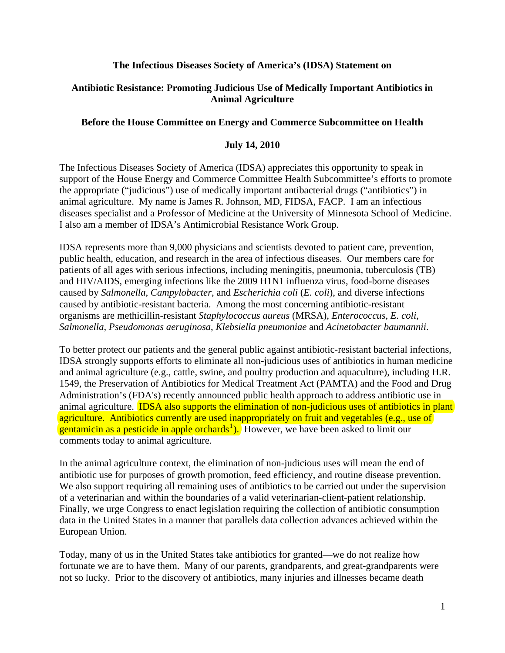### **The Infectious Diseases Society of America's (IDSA) Statement on**

### **Antibiotic Resistance: Promoting Judicious Use of Medically Important Antibiotics in Animal Agriculture**

### **Before the House Committee on Energy and Commerce Subcommittee on Health**

### **July 14, 2010**

The Infectious Diseases Society of America (IDSA) appreciates this opportunity to speak in support of the House Energy and Commerce Committee Health Subcommittee's efforts to promote the appropriate ("judicious") use of medically important antibacterial drugs ("antibiotics") in animal agriculture. My name is James R. Johnson, MD, FIDSA, FACP. I am an infectious diseases specialist and a Professor of Medicine at the University of Minnesota School of Medicine. I also am a member of IDSA's Antimicrobial Resistance Work Group.

IDSA represents more than 9,000 physicians and scientists devoted to patient care, prevention, public health, education, and research in the area of infectious diseases. Our members care for patients of all ages with serious infections, including meningitis, pneumonia, tuberculosis (TB) and HIV/AIDS, emerging infections like the 2009 H1N1 influenza virus, food-borne diseases caused by *Salmonella*, *Campylobacter*, and *Escherichia coli* (*E. coli*), and diverse infections caused by antibiotic-resistant bacteria. Among the most concerning antibiotic-resistant organisms are methicillin-resistant *Staphylococcus aureus* (MRSA), *Enterococcus*, *E. coli*, *Salmonella, Pseudomonas aeruginosa*, *Klebsiella pneumoniae* and *Acinetobacter baumannii*.

To better protect our patients and the general public against antibiotic-resistant bacterial infections, IDSA strongly supports efforts to eliminate all non-judicious uses of antibiotics in human medicine and animal agriculture (e.g., cattle, swine, and poultry production and aquaculture), including H.R. 1549, the Preservation of Antibiotics for Medical Treatment Act (PAMTA) and the Food and Drug Administration's (FDA's) recently announced public health approach to address antibiotic use in animal agriculture. **IDSA** also supports the elimination of non-judicious uses of antibiotics in plant agriculture. Antibiotics currently are used inappropriately on fruit and vegetables (e.g., use of gentamicin as a pesticide in apple orchards<sup>[1](#page-13-0)</sup>). However, we have been asked to limit our comments today to animal agriculture.

In the animal agriculture context, the elimination of non-judicious uses will mean the end of antibiotic use for purposes of growth promotion, feed efficiency, and routine disease prevention. We also support requiring all remaining uses of antibiotics to be carried out under the supervision of a veterinarian and within the boundaries of a valid veterinarian-client-patient relationship. Finally, we urge Congress to enact legislation requiring the collection of antibiotic consumption data in the United States in a manner that parallels data collection advances achieved within the European Union.

Today, many of us in the United States take antibiotics for granted—we do not realize how fortunate we are to have them. Many of our parents, grandparents, and great-grandparents were not so lucky. Prior to the discovery of antibiotics, many injuries and illnesses became death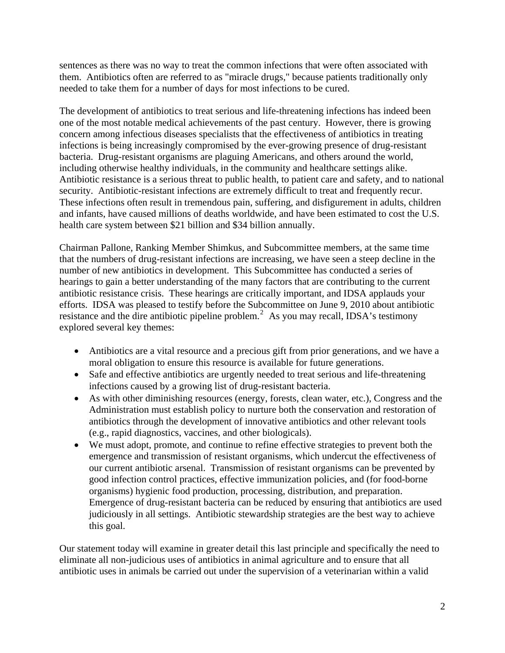sentences as there was no way to treat the common infections that were often associated with them. Antibiotics often are referred to as "miracle drugs," because patients traditionally only needed to take them for a number of days for most infections to be cured.

The development of antibiotics to treat serious and life-threatening infections has indeed been one of the most notable medical achievements of the past century. However, there is growing concern among infectious diseases specialists that the effectiveness of antibiotics in treating infections is being increasingly compromised by the ever-growing presence of drug-resistant bacteria. Drug-resistant organisms are plaguing Americans, and others around the world, including otherwise healthy individuals, in the community and healthcare settings alike. Antibiotic resistance is a serious threat to public health, to patient care and safety, and to national security. Antibiotic-resistant infections are extremely difficult to treat and frequently recur. These infections often result in tremendous pain, suffering, and disfigurement in adults, children and infants, have caused millions of deaths worldwide, and have been estimated to cost the U.S. health care system between \$21 billion and \$34 billion annually.

Chairman Pallone, Ranking Member Shimkus, and Subcommittee members, at the same time that the numbers of drug-resistant infections are increasing, we have seen a steep decline in the number of new antibiotics in development. This Subcommittee has conducted a series of hearings to gain a better understanding of the many factors that are contributing to the current antibiotic resistance crisis. These hearings are critically important, and IDSA applauds your efforts. IDSA was pleased to testify before the Subcommittee on June 9, 2010 about antibiotic resistance and the dire antibiotic pipeline problem.<sup>[2](#page-13-1)</sup> As you may recall, IDSA's testimony explored several key themes:

- Antibiotics are a vital resource and a precious gift from prior generations, and we have a moral obligation to ensure this resource is available for future generations.
- Safe and effective antibiotics are urgently needed to treat serious and life-threatening infections caused by a growing list of drug-resistant bacteria.
- As with other diminishing resources (energy, forests, clean water, etc.), Congress and the Administration must establish policy to nurture both the conservation and restoration of antibiotics through the development of innovative antibiotics and other relevant tools (e.g., rapid diagnostics, vaccines, and other biologicals).
- We must adopt, promote, and continue to refine effective strategies to prevent both the emergence and transmission of resistant organisms, which undercut the effectiveness of our current antibiotic arsenal. Transmission of resistant organisms can be prevented by good infection control practices, effective immunization policies, and (for food-borne organisms) hygienic food production, processing, distribution, and preparation. Emergence of drug-resistant bacteria can be reduced by ensuring that antibiotics are used judiciously in all settings. Antibiotic stewardship strategies are the best way to achieve this goal.

Our statement today will examine in greater detail this last principle and specifically the need to eliminate all non-judicious uses of antibiotics in animal agriculture and to ensure that all antibiotic uses in animals be carried out under the supervision of a veterinarian within a valid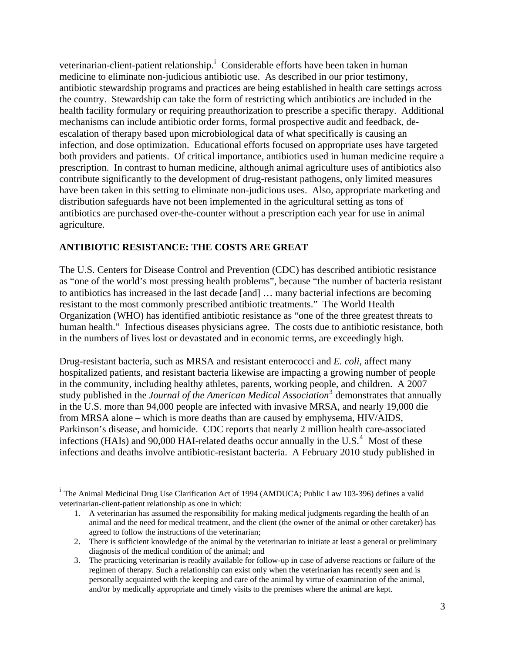veter[i](#page-2-0)narian-client-patient relationship.<sup>i</sup> Considerable efforts have been taken in human medicine to eliminate non-judicious antibiotic use. As described in our prior testimony, antibiotic stewardship programs and practices are being established in health care settings across the country. Stewardship can take the form of restricting which antibiotics are included in the health facility formulary or requiring preauthorization to prescribe a specific therapy. Additional mechanisms can include antibiotic order forms, formal prospective audit and feedback, deescalation of therapy based upon microbiological data of what specifically is causing an infection, and dose optimization. Educational efforts focused on appropriate uses have targeted both providers and patients. Of critical importance, antibiotics used in human medicine require a prescription. In contrast to human medicine, although animal agriculture uses of antibiotics also contribute significantly to the development of drug-resistant pathogens, only limited measures have been taken in this setting to eliminate non-judicious uses. Also, appropriate marketing and distribution safeguards have not been implemented in the agricultural setting as tons of antibiotics are purchased over-the-counter without a prescription each year for use in animal agriculture.

## **ANTIBIOTIC RESISTANCE: THE COSTS ARE GREAT**

 $\overline{a}$ 

The U.S. Centers for Disease Control and Prevention (CDC) has described antibiotic resistance as "one of the world's most pressing health problems", because "the number of bacteria resistant to antibiotics has increased in the last decade [and] … many bacterial infections are becoming resistant to the most commonly prescribed antibiotic treatments." The World Health Organization (WHO) has identified antibiotic resistance as "one of the three greatest threats to human health." Infectious diseases physicians agree. The costs due to antibiotic resistance, both in the numbers of lives lost or devastated and in economic terms, are exceedingly high.

Drug-resistant bacteria, such as MRSA and resistant enterococci and *E. coli*, affect many hospitalized patients, and resistant bacteria likewise are impacting a growing number of people in the community, including healthy athletes, parents, working people, and children. A 2007 study published in the *Journal of the American Medical Association*<sup>[3](#page-13-1)</sup> demonstrates that annually in the U.S. more than 94,000 people are infected with invasive MRSA, and nearly 19,000 die from MRSA alone – which is more deaths than are caused by emphysema, HIV/AIDS, Parkinson's disease, and homicide. CDC reports that nearly 2 million health care-associated infections (HAIs) and 90,000 HAI-related deaths occur annually in the U.S. $<sup>4</sup>$  $<sup>4</sup>$  $<sup>4</sup>$  Most of these</sup> infections and deaths involve antibiotic-resistant bacteria. A February 2010 study published in

<span id="page-2-0"></span><sup>&</sup>lt;sup>i</sup> The Animal Medicinal Drug Use Clarification Act of 1994 (AMDUCA; Public Law 103-396) defines a valid veterinarian-client-patient relationship as one in which:

<sup>1.</sup> A veterinarian has assumed the responsibility for making medical judgments regarding the health of an animal and the need for medical treatment, and the client (the owner of the animal or other caretaker) has agreed to follow the instructions of the veterinarian;

<sup>2.</sup> There is sufficient knowledge of the animal by the veterinarian to initiate at least a general or preliminary diagnosis of the medical condition of the animal; and

<sup>3.</sup> The practicing veterinarian is readily available for follow-up in case of adverse reactions or failure of the regimen of therapy. Such a relationship can exist only when the veterinarian has recently seen and is personally acquainted with the keeping and care of the animal by virtue of examination of the animal, and/or by medically appropriate and timely visits to the premises where the animal are kept.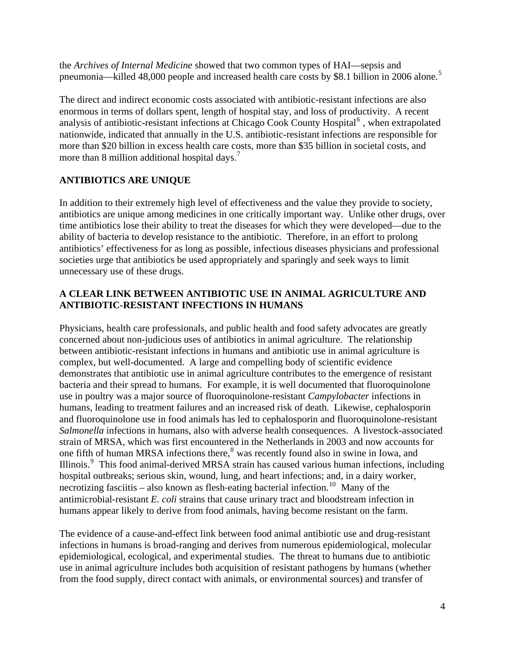the *Archives of Internal Medicine* showed that two common types of HAI—sepsis and pneumonia—killed 48,000 people and increased health care costs by \$8.1 billion in 2006 alone.<sup>[5](#page-13-1)</sup>

The direct and indirect economic costs associated with antibiotic-resistant infections are also enormous in terms of dollars spent, length of hospital stay, and loss of productivity. A recent analysis of antibiotic-resistant infections at Chicago Cook County Hospital<sup>[6](#page-13-1)</sup>, when extrapolated nationwide, indicated that annually in the U.S. antibiotic-resistant infections are responsible for more than \$20 billion in excess health care costs, more than \$35 billion in societal costs, and more than 8 million additional hospital days.<sup>[7](#page-13-1)</sup>

## **ANTIBIOTICS ARE UNIQUE**

In addition to their extremely high level of effectiveness and the value they provide to society, antibiotics are unique among medicines in one critically important way. Unlike other drugs, over time antibiotics lose their ability to treat the diseases for which they were developed—due to the ability of bacteria to develop resistance to the antibiotic. Therefore, in an effort to prolong antibiotics' effectiveness for as long as possible, infectious diseases physicians and professional societies urge that antibiotics be used appropriately and sparingly and seek ways to limit unnecessary use of these drugs.

### **A CLEAR LINK BETWEEN ANTIBIOTIC USE IN ANIMAL AGRICULTURE AND ANTIBIOTIC-RESISTANT INFECTIONS IN HUMANS**

Physicians, health care professionals, and public health and food safety advocates are greatly concerned about non-judicious uses of antibiotics in animal agriculture. The relationship between antibiotic-resistant infections in humans and antibiotic use in animal agriculture is complex, but well-documented. A large and compelling body of scientific evidence demonstrates that antibiotic use in animal agriculture contributes to the emergence of resistant bacteria and their spread to humans. For example, it is well documented that fluoroquinolone use in poultry was a major source of fluoroquinolone-resistant *Campylobacter* infections in humans, leading to treatment failures and an increased risk of death. Likewise, cephalosporin and fluoroquinolone use in food animals has led to cephalosporin and fluoroquinolone-resistant *Salmonella* infections in humans, also with adverse health consequences. A livestock-associated strain of MRSA, which was first encountered in the Netherlands in 2003 and now accounts for one fifth of human MRSA infections there,<sup>[8](#page-13-1)</sup> was recently found also in swine in Iowa, and Illinois.<sup>[9](#page-13-1)</sup> This food animal-derived MRSA strain has caused various human infections, including hospital outbreaks; serious skin, wound, lung, and heart infections; and, in a dairy worker, necrotizing fasciitis – also known as flesh-eating bacterial infection.<sup>[10](#page-13-1)</sup> Many of the antimicrobial-resistant *E. coli* strains that cause urinary tract and bloodstream infection in humans appear likely to derive from food animals, having become resistant on the farm.

The evidence of a cause-and-effect link between food animal antibiotic use and drug-resistant infections in humans is broad-ranging and derives from numerous epidemiological, molecular epidemiological, ecological, and experimental studies. The threat to humans due to antibiotic use in animal agriculture includes both acquisition of resistant pathogens by humans (whether from the food supply, direct contact with animals, or environmental sources) and transfer of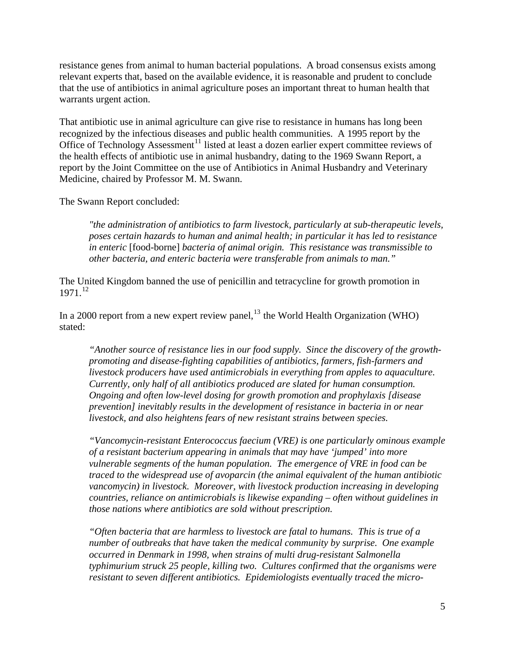resistance genes from animal to human bacterial populations. A broad consensus exists among relevant experts that, based on the available evidence, it is reasonable and prudent to conclude that the use of antibiotics in animal agriculture poses an important threat to human health that warrants urgent action.

That antibiotic use in animal agriculture can give rise to resistance in humans has long been recognized by the infectious diseases and public health communities. A 1995 report by the Office of Technology Assessment<sup>[11](#page-13-1)</sup> listed at least a dozen earlier expert committee reviews of the health effects of antibiotic use in animal husbandry, dating to the 1969 Swann Report, a report by the Joint Committee on the use of Antibiotics in Animal Husbandry and Veterinary Medicine, chaired by Professor M. M. Swann.

The Swann Report concluded:

*"the administration of antibiotics to farm livestock, particularly at sub-therapeutic levels, poses certain hazards to human and animal health; in particular it has led to resistance in enteric* [food-borne] *bacteria of animal origin. This resistance was transmissible to other bacteria, and enteric bacteria were transferable from animals to man."*

The United Kingdom banned the use of penicillin and tetracycline for growth promotion in 1971.[12](#page-13-1)

In a 2000 report from a new expert review panel,  $^{13}$  $^{13}$  $^{13}$  the World Health Organization (WHO) stated:

*"Another source of resistance lies in our food supply. Since the discovery of the growthpromoting and disease-fighting capabilities of antibiotics, farmers, fish-farmers and livestock producers have used antimicrobials in everything from apples to aquaculture. Currently, only half of all antibiotics produced are slated for human consumption. Ongoing and often low-level dosing for growth promotion and prophylaxis [disease prevention] inevitably results in the development of resistance in bacteria in or near livestock, and also heightens fears of new resistant strains between species.* 

*"Vancomycin-resistant Enterococcus faecium (VRE) is one particularly ominous example of a resistant bacterium appearing in animals that may have 'jumped' into more vulnerable segments of the human population. The emergence of VRE in food can be traced to the widespread use of avoparcin (the animal equivalent of the human antibiotic vancomycin) in livestock. Moreover, with livestock production increasing in developing countries, reliance on antimicrobials is likewise expanding – often without guidelines in those nations where antibiotics are sold without prescription.* 

*"Often bacteria that are harmless to livestock are fatal to humans. This is true of a number of outbreaks that have taken the medical community by surprise. One example occurred in Denmark in 1998, when strains of multi drug-resistant Salmonella typhimurium struck 25 people, killing two. Cultures confirmed that the organisms were resistant to seven different antibiotics. Epidemiologists eventually traced the micro-*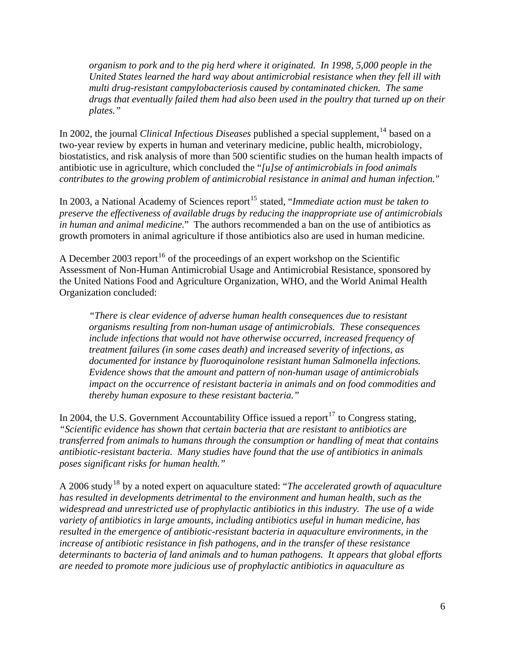*organism to pork and to the pig herd where it originated. In 1998, 5,000 people in the United States learned the hard way about antimicrobial resistance when they fell ill with multi drug-resistant campylobacteriosis caused by contaminated chicken. The same drugs that eventually failed them had also been used in the poultry that turned up on their plates."*

In 2002, the journal *Clinical Infectious Diseases* published a special supplement,<sup>[14](#page-13-1)</sup> based on a two-year review by experts in human and veterinary medicine, public health, microbiology, biostatistics, and risk analysis of more than 500 scientific studies on the human health impacts of antibiotic use in agriculture, which concluded the "*[u]se of antimicrobials in food animals contributes to the growing problem of antimicrobial resistance in animal and human infection."*

In 2003, a National Academy of Sciences report<sup>[15](#page-13-1)</sup> stated, "*Immediate action must be taken to preserve the effectiveness of available drugs by reducing the inappropriate use of antimicrobials in human and animal medicine.*" The authors recommended a ban on the use of antibiotics as growth promoters in animal agriculture if those antibiotics also are used in human medicine.

A December 2003 report<sup>[16](#page-13-1)</sup> of the proceedings of an expert workshop on the Scientific Assessment of Non-Human Antimicrobial Usage and Antimicrobial Resistance, sponsored by the United Nations Food and Agriculture Organization, WHO, and the World Animal Health Organization concluded:

*"There is clear evidence of adverse human health consequences due to resistant organisms resulting from non-human usage of antimicrobials. These consequences include infections that would not have otherwise occurred, increased frequency of treatment failures (in some cases death) and increased severity of infections, as documented for instance by fluoroquinolone resistant human Salmonella infections. Evidence shows that the amount and pattern of non-human usage of antimicrobials impact on the occurrence of resistant bacteria in animals and on food commodities and thereby human exposure to these resistant bacteria."* 

In 2004, the U.S. Government Accountability Office issued a report<sup>[17](#page-14-0)</sup> to Congress stating, *"Scientific evidence has shown that certain bacteria that are resistant to antibiotics are transferred from animals to humans through the consumption or handling of meat that contains antibiotic-resistant bacteria. Many studies have found that the use of antibiotics in animals poses significant risks for human health."*

A 2006 study<sup>[18](#page-14-0)</sup> by a noted expert on aquaculture stated: "The accelerated growth of aquaculture *has resulted in developments detrimental to the environment and human health, such as the widespread and unrestricted use of prophylactic antibiotics in this industry. The use of a wide variety of antibiotics in large amounts, including antibiotics useful in human medicine, has resulted in the emergence of antibiotic-resistant bacteria in aquaculture environments, in the increase of antibiotic resistance in fish pathogens, and in the transfer of these resistance determinants to bacteria of land animals and to human pathogens. It appears that global efforts are needed to promote more judicious use of prophylactic antibiotics in aquaculture as*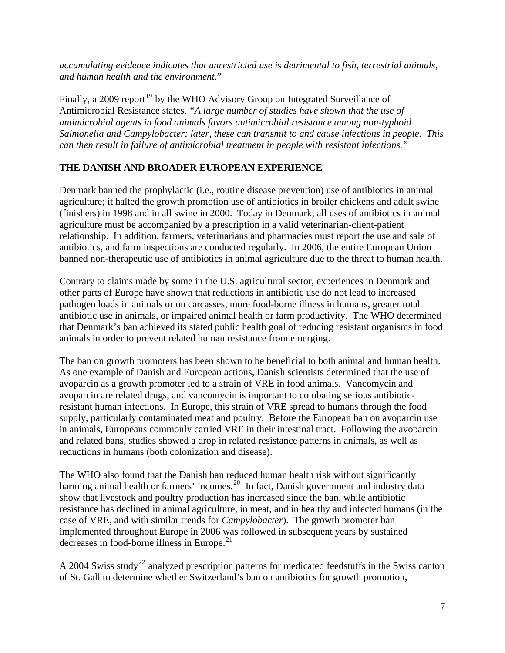*accumulating evidence indicates that unrestricted use is detrimental to fish, terrestrial animals, and human health and the environment.*"

Finally, a 2009 report<sup>[19](#page-14-0)</sup> by the WHO Advisory Group on Integrated Surveillance of Antimicrobial Resistance states, *"A large number of studies have shown that the use of antimicrobial agents in food animals favors antimicrobial resistance among non-typhoid Salmonella and Campylobacter; later, these can transmit to and cause infections in people. This can then result in failure of antimicrobial treatment in people with resistant infections."*

## **THE DANISH AND BROADER EUROPEAN EXPERIENCE**

Denmark banned the prophylactic (i.e., routine disease prevention) use of antibiotics in animal agriculture; it halted the growth promotion use of antibiotics in broiler chickens and adult swine (finishers) in 1998 and in all swine in 2000. Today in Denmark, all uses of antibiotics in animal agriculture must be accompanied by a prescription in a valid veterinarian-client-patient relationship. In addition, farmers, veterinarians and pharmacies must report the use and sale of antibiotics, and farm inspections are conducted regularly. In 2006, the entire European Union banned non-therapeutic use of antibiotics in animal agriculture due to the threat to human health.

Contrary to claims made by some in the U.S. agricultural sector, experiences in Denmark and other parts of Europe have shown that reductions in antibiotic use do not lead to increased pathogen loads in animals or on carcasses, more food-borne illness in humans, greater total antibiotic use in animals, or impaired animal health or farm productivity. The WHO determined that Denmark's ban achieved its stated public health goal of reducing resistant organisms in food animals in order to prevent related human resistance from emerging.

The ban on growth promoters has been shown to be beneficial to both animal and human health. As one example of Danish and European actions, Danish scientists determined that the use of avoparcin as a growth promoter led to a strain of VRE in food animals. Vancomycin and avoparcin are related drugs, and vancomycin is important to combating serious antibioticresistant human infections. In Europe, this strain of VRE spread to humans through the food supply, particularly contaminated meat and poultry. Before the European ban on avoparcin use in animals, Europeans commonly carried VRE in their intestinal tract. Following the avoparcin and related bans, studies showed a drop in related resistance patterns in animals, as well as reductions in humans (both colonization and disease).

The WHO also found that the Danish ban reduced human health risk without significantly harming animal health or farmers' incomes.<sup>[20](#page-14-0)</sup> In fact, Danish government and industry data show that livestock and poultry production has increased since the ban, while antibiotic resistance has declined in animal agriculture, in meat, and in healthy and infected humans (in the case of VRE, and with similar trends for *Campylobacter*). The growth promoter ban implemented throughout Europe in 2006 was followed in subsequent years by sustained decreases in food-borne illness in Europe. $2<sup>1</sup>$ 

A 2004 Swiss study<sup>[22](#page-14-0)</sup> analyzed prescription patterns for medicated feedstuffs in the Swiss canton of St. Gall to determine whether Switzerland's ban on antibiotics for growth promotion,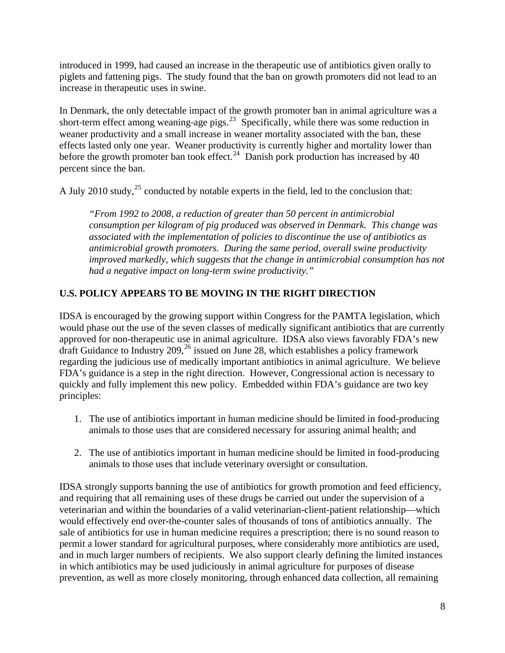introduced in 1999, had caused an increase in the therapeutic use of antibiotics given orally to piglets and fattening pigs. The study found that the ban on growth promoters did not lead to an increase in therapeutic uses in swine.

In Denmark, the only detectable impact of the growth promoter ban in animal agriculture was a short-term effect among weaning-age pigs.<sup>[23](#page-14-0)</sup> Specifically, while there was some reduction in weaner productivity and a small increase in weaner mortality associated with the ban, these effects lasted only one year. Weaner productivity is currently higher and mortality lower than before the growth promoter ban took effect.<sup>[24](#page-14-0)</sup> Danish pork production has increased by 40 percent since the ban.

A July 2010 study,  $^{25}$  $^{25}$  $^{25}$  conducted by notable experts in the field, led to the conclusion that:

*"From 1992 to 2008, a reduction of greater than 50 percent in antimicrobial consumption per kilogram of pig produced was observed in Denmark. This change was associated with the implementation of policies to discontinue the use of antibiotics as antimicrobial growth promoters. During the same period, overall swine productivity improved markedly, which suggests that the change in antimicrobial consumption has not had a negative impact on long-term swine productivity."* 

# **U.S. POLICY APPEARS TO BE MOVING IN THE RIGHT DIRECTION**

IDSA is encouraged by the growing support within Congress for the PAMTA legislation, which would phase out the use of the seven classes of medically significant antibiotics that are currently approved for non-therapeutic use in animal agriculture. IDSA also views favorably FDA's new draft Guidance to Industry  $209<sup>26</sup>$  $209<sup>26</sup>$  $209<sup>26</sup>$  issued on June 28, which establishes a policy framework regarding the judicious use of medically important antibiotics in animal agriculture. We believe FDA's guidance is a step in the right direction. However, Congressional action is necessary to quickly and fully implement this new policy. Embedded within FDA's guidance are two key principles:

- 1. The use of antibiotics important in human medicine should be limited in food-producing animals to those uses that are considered necessary for assuring animal health; and
- 2. The use of antibiotics important in human medicine should be limited in food-producing animals to those uses that include veterinary oversight or consultation.

IDSA strongly supports banning the use of antibiotics for growth promotion and feed efficiency, and requiring that all remaining uses of these drugs be carried out under the supervision of a veterinarian and within the boundaries of a valid veterinarian-client-patient relationship—which would effectively end over-the-counter sales of thousands of tons of antibiotics annually. The sale of antibiotics for use in human medicine requires a prescription; there is no sound reason to permit a lower standard for agricultural purposes, where considerably more antibiotics are used, and in much larger numbers of recipients. We also support clearly defining the limited instances in which antibiotics may be used judiciously in animal agriculture for purposes of disease prevention, as well as more closely monitoring, through enhanced data collection, all remaining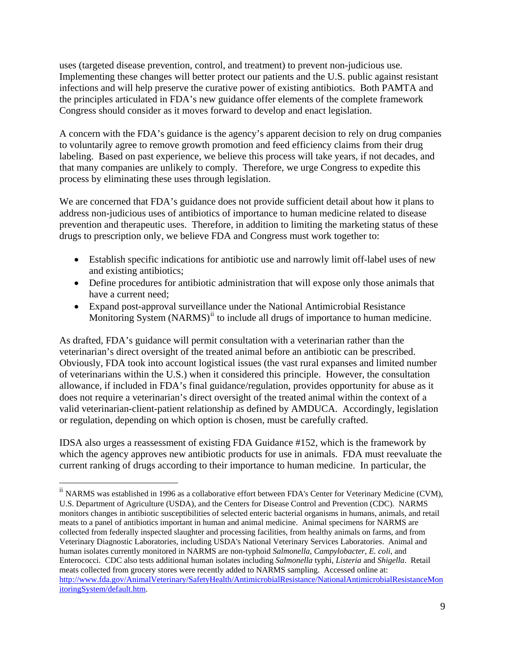uses (targeted disease prevention, control, and treatment) to prevent non-judicious use. Implementing these changes will better protect our patients and the U.S. public against resistant infections and will help preserve the curative power of existing antibiotics. Both PAMTA and the principles articulated in FDA's new guidance offer elements of the complete framework Congress should consider as it moves forward to develop and enact legislation.

A concern with the FDA's guidance is the agency's apparent decision to rely on drug companies to voluntarily agree to remove growth promotion and feed efficiency claims from their drug labeling. Based on past experience, we believe this process will take years, if not decades, and that many companies are unlikely to comply. Therefore, we urge Congress to expedite this process by eliminating these uses through legislation.

We are concerned that FDA's guidance does not provide sufficient detail about how it plans to address non-judicious uses of antibiotics of importance to human medicine related to disease prevention and therapeutic uses. Therefore, in addition to limiting the marketing status of these drugs to prescription only, we believe FDA and Congress must work together to:

- Establish specific indications for antibiotic use and narrowly limit off-label uses of new and existing antibiotics;
- Define procedures for antibiotic administration that will expose only those animals that have a current need;
- Expand post-approval surveillance under the National Antimicrobial Resistance Monitoring System (NARMS)<sup>[ii](#page-8-0)</sup> to include all drugs of importance to human medicine.

As drafted, FDA's guidance will permit consultation with a veterinarian rather than the veterinarian's direct oversight of the treated animal before an antibiotic can be prescribed. Obviously, FDA took into account logistical issues (the vast rural expanses and limited number of veterinarians within the U.S.) when it considered this principle. However, the consultation allowance, if included in FDA's final guidance/regulation, provides opportunity for abuse as it does not require a veterinarian's direct oversight of the treated animal within the context of a valid veterinarian-client-patient relationship as defined by AMDUCA. Accordingly, legislation or regulation, depending on which option is chosen, must be carefully crafted.

IDSA also urges a reassessment of existing FDA Guidance #152, which is the framework by which the agency approves new antibiotic products for use in animals. FDA must reevaluate the current ranking of drugs according to their importance to human medicine. In particular, the

 $\overline{a}$ 

<span id="page-8-0"></span><sup>&</sup>lt;sup>ii</sup> NARMS was established in 1996 as a collaborative effort between FDA's Center for Veterinary Medicine (CVM), U.S. Department of Agriculture (USDA), and the Centers for Disease Control and Prevention (CDC). NARMS monitors changes in antibiotic susceptibilities of selected enteric bacterial organisms in humans, animals, and retail meats to a panel of antibiotics important in human and animal medicine. Animal specimens for NARMS are collected from federally inspected slaughter and processing facilities, from healthy animals on farms, and from Veterinary Diagnostic Laboratories, including USDA's National Veterinary Services Laboratories. Animal and human isolates currently monitored in NARMS are non-typhoid *Salmonella*, *Campylobacter*, *E. coli*, and Enterococci. CDC also tests additional human isolates including *Salmonella* typhi, *Listeria* and *Shigella*. Retail meats collected from grocery stores were recently added to NARMS sampling. Accessed online at: [http://www.fda.gov/AnimalVeterinary/SafetyHealth/AntimicrobialResistance/NationalAntimicrobialResistanceMon](http://www.fda.gov/AnimalVeterinary/SafetyHealth/AntimicrobialResistance/NationalAntimicrobialResistanceMonitoringSystem/default.htm) [itoringSystem/default.htm.](http://www.fda.gov/AnimalVeterinary/SafetyHealth/AntimicrobialResistance/NationalAntimicrobialResistanceMonitoringSystem/default.htm)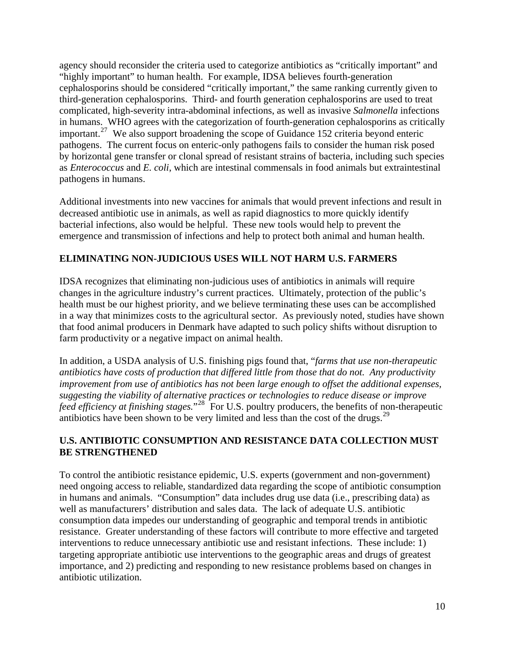agency should reconsider the criteria used to categorize antibiotics as "critically important" and "highly important" to human health. For example, IDSA believes fourth-generation cephalosporins should be considered "critically important," the same ranking currently given to third-generation cephalosporins. Third- and fourth generation cephalosporins are used to treat complicated, high-severity intra-abdominal infections, as well as invasive *Salmonella* infections in humans. WHO agrees with the categorization of fourth-generation cephalosporins as critically important.<sup>[27](#page-14-0)</sup> We also support broadening the scope of Guidance 152 criteria beyond enteric pathogens. The current focus on enteric-only pathogens fails to consider the human risk posed by horizontal gene transfer or clonal spread of resistant strains of bacteria, including such species as *Enterococcus* and *E. coli*, which are intestinal commensals in food animals but extraintestinal pathogens in humans.

Additional investments into new vaccines for animals that would prevent infections and result in decreased antibiotic use in animals, as well as rapid diagnostics to more quickly identify bacterial infections, also would be helpful. These new tools would help to prevent the emergence and transmission of infections and help to protect both animal and human health.

### **ELIMINATING NON-JUDICIOUS USES WILL NOT HARM U.S. FARMERS**

IDSA recognizes that eliminating non-judicious uses of antibiotics in animals will require changes in the agriculture industry's current practices. Ultimately, protection of the public's health must be our highest priority, and we believe terminating these uses can be accomplished in a way that minimizes costs to the agricultural sector. As previously noted, studies have shown that food animal producers in Denmark have adapted to such policy shifts without disruption to farm productivity or a negative impact on animal health.

In addition, a USDA analysis of U.S. finishing pigs found that, "*farms that use non-therapeutic antibiotics have costs of production that differed little from those that do not. Any productivity improvement from use of antibiotics has not been large enough to offset the additional expenses, suggesting the viability of alternative practices or technologies to reduce disease or improve feed efficiency at finishing stages.*"[28](#page-14-0) For U.S. poultry producers, the benefits of non-therapeutic antibiotics have been shown to be very limited and less than the cost of the drugs.<sup>[29](#page-14-0)</sup>

### **U.S. ANTIBIOTIC CONSUMPTION AND RESISTANCE DATA COLLECTION MUST BE STRENGTHENED**

To control the antibiotic resistance epidemic, U.S. experts (government and non-government) need ongoing access to reliable, standardized data regarding the scope of antibiotic consumption in humans and animals. "Consumption" data includes drug use data (i.e., prescribing data) as well as manufacturers' distribution and sales data. The lack of adequate U.S. antibiotic consumption data impedes our understanding of geographic and temporal trends in antibiotic resistance. Greater understanding of these factors will contribute to more effective and targeted interventions to reduce unnecessary antibiotic use and resistant infections. These include: 1) targeting appropriate antibiotic use interventions to the geographic areas and drugs of greatest importance, and 2) predicting and responding to new resistance problems based on changes in antibiotic utilization.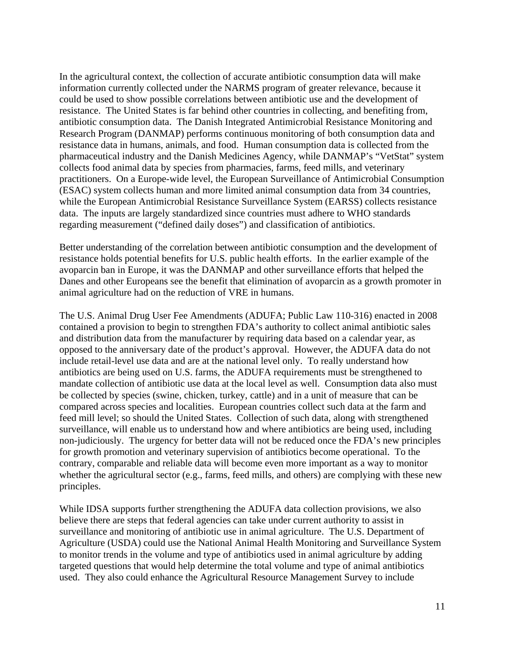In the agricultural context, the collection of accurate antibiotic consumption data will make information currently collected under the NARMS program of greater relevance, because it could be used to show possible correlations between antibiotic use and the development of resistance. The United States is far behind other countries in collecting, and benefiting from, antibiotic consumption data. The Danish Integrated Antimicrobial Resistance Monitoring and Research Program (DANMAP) performs continuous monitoring of both consumption data and resistance data in humans, animals, and food. Human consumption data is collected from the pharmaceutical industry and the Danish Medicines Agency, while DANMAP's "VetStat" system collects food animal data by species from pharmacies, farms, feed mills, and veterinary practitioners. On a Europe-wide level, the European Surveillance of Antimicrobial Consumption (ESAC) system collects human and more limited animal consumption data from 34 countries, while the European Antimicrobial Resistance Surveillance System (EARSS) collects resistance data. The inputs are largely standardized since countries must adhere to WHO standards regarding measurement ("defined daily doses") and classification of antibiotics.

Better understanding of the correlation between antibiotic consumption and the development of resistance holds potential benefits for U.S. public health efforts. In the earlier example of the avoparcin ban in Europe, it was the DANMAP and other surveillance efforts that helped the Danes and other Europeans see the benefit that elimination of avoparcin as a growth promoter in animal agriculture had on the reduction of VRE in humans.

The U.S. Animal Drug User Fee Amendments (ADUFA; Public Law 110-316) enacted in 2008 contained a provision to begin to strengthen FDA's authority to collect animal antibiotic sales and distribution data from the manufacturer by requiring data based on a calendar year, as opposed to the anniversary date of the product's approval. However, the ADUFA data do not include retail-level use data and are at the national level only. To really understand how antibiotics are being used on U.S. farms, the ADUFA requirements must be strengthened to mandate collection of antibiotic use data at the local level as well. Consumption data also must be collected by species (swine, chicken, turkey, cattle) and in a unit of measure that can be compared across species and localities. European countries collect such data at the farm and feed mill level; so should the United States. Collection of such data, along with strengthened surveillance, will enable us to understand how and where antibiotics are being used, including non-judiciously. The urgency for better data will not be reduced once the FDA's new principles for growth promotion and veterinary supervision of antibiotics become operational. To the contrary, comparable and reliable data will become even more important as a way to monitor whether the agricultural sector (e.g., farms, feed mills, and others) are complying with these new principles.

While IDSA supports further strengthening the ADUFA data collection provisions, we also believe there are steps that federal agencies can take under current authority to assist in surveillance and monitoring of antibiotic use in animal agriculture. The U.S. Department of Agriculture (USDA) could use the National Animal Health Monitoring and Surveillance System to monitor trends in the volume and type of antibiotics used in animal agriculture by adding targeted questions that would help determine the total volume and type of animal antibiotics used. They also could enhance the Agricultural Resource Management Survey to include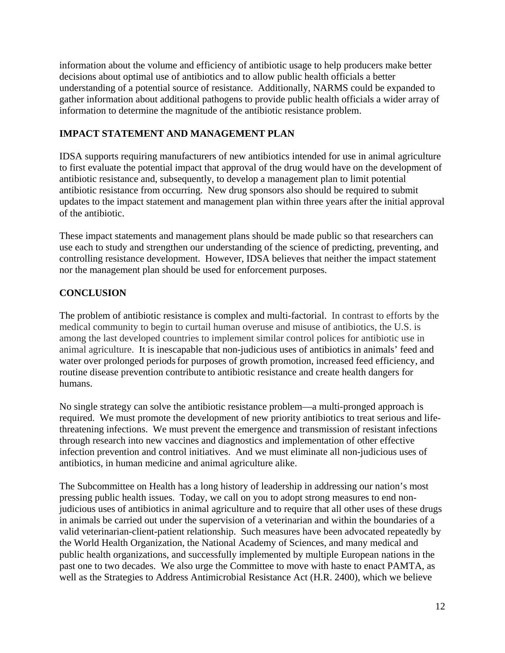information about the volume and efficiency of antibiotic usage to help producers make better decisions about optimal use of antibiotics and to allow public health officials a better understanding of a potential source of resistance. Additionally, NARMS could be expanded to gather information about additional pathogens to provide public health officials a wider array of information to determine the magnitude of the antibiotic resistance problem.

## **IMPACT STATEMENT AND MANAGEMENT PLAN**

IDSA supports requiring manufacturers of new antibiotics intended for use in animal agriculture to first evaluate the potential impact that approval of the drug would have on the development of antibiotic resistance and, subsequently, to develop a management plan to limit potential antibiotic resistance from occurring. New drug sponsors also should be required to submit updates to the impact statement and management plan within three years after the initial approval of the antibiotic.

These impact statements and management plans should be made public so that researchers can use each to study and strengthen our understanding of the science of predicting, preventing, and controlling resistance development. However, IDSA believes that neither the impact statement nor the management plan should be used for enforcement purposes.

# **CONCLUSION**

The problem of antibiotic resistance is complex and multi-factorial. In contrast to efforts by the medical community to begin to curtail human overuse and misuse of antibiotics, the U.S. is among the last developed countries to implement similar control polices for antibiotic use in animal agriculture. It is inescapable that non-judicious uses of antibiotics in animals' feed and water over prolonged periods for purposes of growth promotion, increased feed efficiency, and routine disease prevention contribute to antibiotic resistance and create health dangers for humans.

No single strategy can solve the antibiotic resistance problem—a multi-pronged approach is required. We must promote the development of new priority antibiotics to treat serious and lifethreatening infections. We must prevent the emergence and transmission of resistant infections through research into new vaccines and diagnostics and implementation of other effective infection prevention and control initiatives. And we must eliminate all non-judicious uses of antibiotics, in human medicine and animal agriculture alike.

The Subcommittee on Health has a long history of leadership in addressing our nation's most pressing public health issues. Today, we call on you to adopt strong measures to end nonjudicious uses of antibiotics in animal agriculture and to require that all other uses of these drugs in animals be carried out under the supervision of a veterinarian and within the boundaries of a valid veterinarian-client-patient relationship. Such measures have been advocated repeatedly by the World Health Organization, the National Academy of Sciences, and many medical and public health organizations, and successfully implemented by multiple European nations in the past one to two decades. We also urge the Committee to move with haste to enact PAMTA, as well as the Strategies to Address Antimicrobial Resistance Act (H.R. 2400), which we believe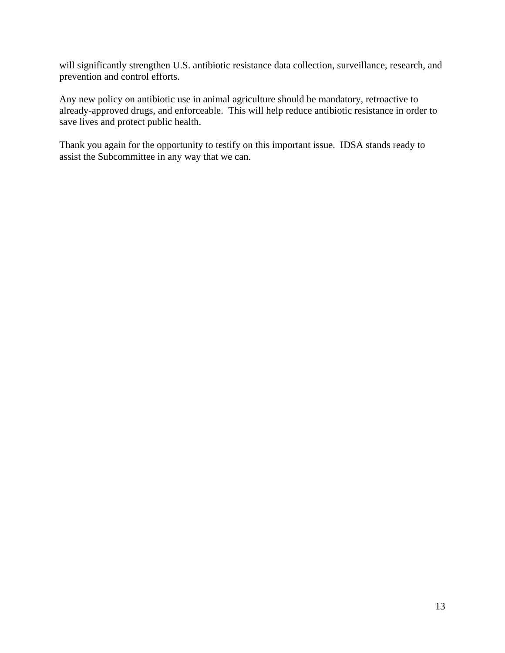will significantly strengthen U.S. antibiotic resistance data collection, surveillance, research, and prevention and control efforts.

Any new policy on antibiotic use in animal agriculture should be mandatory, retroactive to already-approved drugs, and enforceable. This will help reduce antibiotic resistance in order to save lives and protect public health.

Thank you again for the opportunity to testify on this important issue. IDSA stands ready to assist the Subcommittee in any way that we can.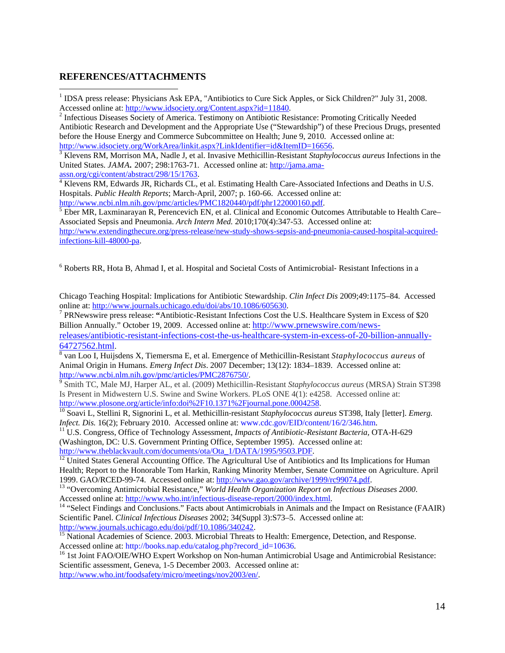#### <span id="page-13-1"></span>**REFERENCES/ATTACHMENTS**

1

<span id="page-13-0"></span><sup>1</sup> IDSA press release: Physicians Ask EPA, "Antibiotics to Cure Sick Apples, or Sick Children?" July 31, 2008. Accessed online at:<http://www.idsociety.org/Content.aspx?id=11840>. 2

<sup>2</sup> Infectious Diseases Society of America. Testimony on Antibiotic Resistance: Promoting Critically Needed Antibiotic Research and Development and the Appropriate Use ("Stewardship") of these Precious Drugs, presented before the House Energy and Commerce Subcommittee on Health; June 9, 2010. Accessed online at: [http://www.idsociety.org/WorkArea/linkit.aspx?LinkIdentifier=id&ItemID=16656.](http://www.idsociety.org/WorkArea/linkit.aspx?LinkIdentifier=id&ItemID=16656)

<sup>3</sup> Klevens RM, Morrison MA, Nadle J, et al. Invasive Methicillin-Resistant *Staphylococcus aureus* Infections in the United States. *JAMA.* 2007; 298:1763-71. Accessed online at: [http://jama.ama](http://jama.ama-assn.org/cgi/content/abstract/298/15/1763)[assn.org/cgi/content/abstract/298/15/1763](http://jama.ama-assn.org/cgi/content/abstract/298/15/1763). [4](http://jama.ama-assn.org/cgi/content/abstract/298/15/1763)

<sup>4</sup> Klevens RM, Edwards JR, Richards CL, et al. Estimating Health Care-Associated Infections and Deaths in U.S. Hospitals. *Public Health Reports*; March-April, 2007; p. 160-66. Accessed online at: [http://www.ncbi.nlm.nih.gov/pmc/articles/PMC1820440/pdf/phr122000160.pdf.](http://www.ncbi.nlm.nih.gov/pmc/articles/PMC1820440/pdf/phr122000160.pdf)

<sup>5</sup> Eber MR, Laxminarayan R, Perencevich EN, et al. Clinical and Economic Outcomes Attributable to Health Care– Associated Sepsis and Pneumonia. *Arch Intern Med.* 2010;170(4):347-53. Accessed online at: [http://www.extendingthecure.org/press-release/new-study-shows-sepsis-and-pneumonia-caused-hospital-acquired](http://www.extendingthecure.org/press-release/new-study-shows-sepsis-and-pneumonia-caused-hospital-acquired-infections-kill-48000-pa)[infections-kill-48000-pa](http://www.extendingthecure.org/press-release/new-study-shows-sepsis-and-pneumonia-caused-hospital-acquired-infections-kill-48000-pa).

<sup>6</sup> Roberts RR, Hota B, Ahmad I, et al. Hospital and Societal Costs of Antimicrobial- Resistant Infections in a

Chicago Teaching Hospital: Implications for Antibiotic Stewardship. *Clin Infect Dis* 2009;49:1175–84. Accessed online at: [http://www.journals.uchicago.edu/doi/abs/10.1086/605630.](http://www.journals.uchicago.edu/doi/abs/10.1086/605630)

 PRNewswire press release: **"**Antibiotic-Resistant Infections Cost the U.S. Healthcare System in Excess of \$20 Billion Annually." October 19, 2009. Accessed online at: [http://www.prnewswire.com/news](http://www.prnewswire.com/news-releases/antibiotic-resistant-infections-cost-the-us-healthcare-system-in-excess-of-20-billion-annually-64727562.html)[releases/antibiotic-resistant-infections-cost-the-us-healthcare-system-in-excess-of-20-billion-annually-](http://www.prnewswire.com/news-releases/antibiotic-resistant-infections-cost-the-us-healthcare-system-in-excess-of-20-billion-annually-64727562.html)[64727562.html.](http://www.prnewswire.com/news-releases/antibiotic-resistant-infections-cost-the-us-healthcare-system-in-excess-of-20-billion-annually-64727562.html) [8](http://www.prnewswire.com/news-releases/antibiotic-resistant-infections-cost-the-us-healthcare-system-in-excess-of-20-billion-annually-64727562.html)

 van Loo I, Huijsdens X, Tiemersma E, et al. Emergence of Methicillin-Resistant *Staphylococcus aureus* of Animal Origin in Humans. *Emerg Infect Dis*. 2007 December; 13(12): 1834–1839. Accessed online at: <http://www.ncbi.nlm.nih.gov/pmc/articles/PMC2876750/>. [9](http://www.ncbi.nlm.nih.gov/pmc/articles/PMC2876750/) Smith TC, Male MJ, Harper AL, et al. (2009) Methicillin-Resistant *Staphylococcus aureus* (MRSA) Strain ST398

Is Present in Midwestern U.S. Swine and Swine Workers. PLoS ONE 4(1): e4258. Accessed online at: <http://www.plosone.org/article/info:doi%2F10.1371%2Fjournal.pone.0004258>.

<sup>10</sup> Soavi L, Stellini R, Signorini L, et al. Methicillin-resistant *Staphylococcus aureus* ST398, Italy [letter]. *Emerg. Infect. Dis.* 16(2); February 2010. Accessed online at: www.cdc.gov/EID/content/16/2/346.htm.

<sup>11</sup> U.S. Congress, Office of Technology Assessment, *Impacts of Antibiotic-Resistant Bacteria*, OTA-H-629 (Washington, DC: U.S. Government Printing Office, September 1995). Accessed online at:<br>http://www.theblackvault.com/documents/ota/Ota\_1/DATA/1995/9503.PDF.

 $\frac{12}{12}$  $\frac{12}{12}$  $\frac{12}{12}$  United States General Accounting Office. The Agricultural Use of Antibiotics and Its Implications for Human Health; Report to the Honorable Tom Harkin, Ranking Minority Member, Senate Committee on Agriculture. April

1999. GAO/RCED-99-74. Accessed online at: [http://www.gao.gov/archive/1999/rc99074.pdf.](http://www.gao.gov/archive/1999/rc99074.pdf)<br><sup>13</sup> "Overcoming Antimicrobial Resistance," *World Health Organization Report on Infectious Diseases 2000*.<br>Accessed online at: http://

Accessed online at: http://www.who.interested Elections-report-2000/index.html. 14 "Select Findings and Conclusions." Facts about Antimicrobials in Animals and the Impact on Resistance (FAAIR) Scientific Panel. *Clinical Infectious Diseases* 2002; 34(Suppl 3):S73–5. Accessed online at:

[http://www.journals.uchicago.edu/doi/pdf/10.1086/340242.](http://www.journals.uchicago.edu/doi/pdf/10.1086/340242)<br><sup>[15](http://www.journals.uchicago.edu/doi/pdf/10.1086/340242)</sup> National Academies of Science. 2003. Microbial Threats to Health: Emergence, Detection, and Response.<br>Accessed online at: http://books.nap.edu/catalog.php?recor

<sup>16</sup> 1st Joint FAO/OIE/ $\dot{W}$ HO Expert Workshop on Non-human Antimicrobial Usage and Antimicrobial Resistance: Scientific assessment, Geneva, 1-5 December 2003. Accessed online at:

<http://www.who.int/foodsafety/micro/meetings/nov2003/en/>.